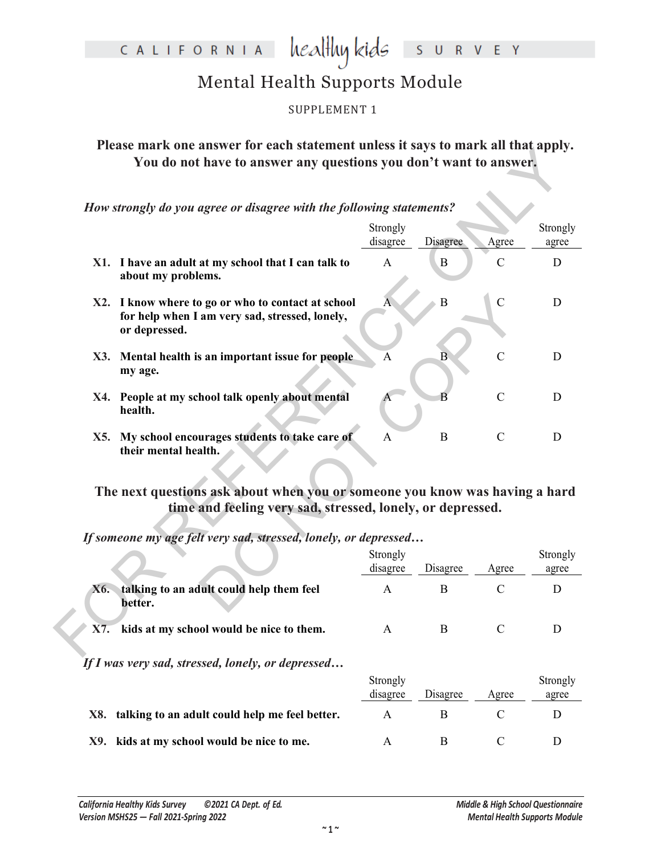### healthy kids CALIFORNIA EY Ś  $\mathsf{R}$  $V$

## Mental Health Supports Module

SUPPLEMENT 1

**Please mark one answer for each statement unless it says to mark all that apply. You do not have to answer any questions you don't want to answer.**

| і ісам тагіх онс анэмсі тог сасп зіаценісні шисээ н зауэ іо тагіх ан інадарріў.<br>You do not have to answer any questions you don't want to answer. |                         |                |                |                   |
|------------------------------------------------------------------------------------------------------------------------------------------------------|-------------------------|----------------|----------------|-------------------|
| How strongly do you agree or disagree with the following statements?                                                                                 |                         |                |                |                   |
|                                                                                                                                                      | Strongly<br>disagree    | Disagree       | Agree          | Strongly<br>agree |
| X1. I have an adult at my school that I can talk to<br>about my problems.                                                                            | $\mathbf{A}$            | $\bf{B}$       | $\mathsf{C}$   | D                 |
| X2. I know where to go or who to contact at school<br>for help when I am very sad, stressed, lonely,<br>or depressed.                                | $\overline{A}$          | $\overline{B}$ | $\mathcal{C}$  | D                 |
| X3. Mental health is an important issue for people<br>my age.                                                                                        | $\overline{\mathbf{A}}$ | $\overline{B}$ | $\overline{C}$ | D                 |
| X4. People at my school talk openly about mental<br>health.                                                                                          | $\overline{A}$          | R              | $\mathcal{C}$  | D                 |
| X5. My school encourages students to take care of<br>their mental health.                                                                            | $\mathbf{A}$            | $\mathbf B$    | $\mathbf C$    | D                 |
| The next questions ask about when you or someone you know was having a hard<br>time and feeling very sad, stressed, lonely, or depressed.            |                         |                |                |                   |
| If someone my age felt very sad, stressed, lonely, or depressed                                                                                      |                         |                |                |                   |
|                                                                                                                                                      | Strongly<br>disagree    | Disagree       | Agree          | agree             |
| X6. talking to an adult could help them feel<br>better.                                                                                              | $\mathsf{A}$            | B              | $\mathcal{C}$  | Strongly<br>D     |

## **The next questions ask about when you or someone you know was having a hard time and feeling very sad, stressed, lonely, or depressed.**

|                                                            | Strongly<br>disagree | Disagree | Agree        | Strongly<br>agree |
|------------------------------------------------------------|----------------------|----------|--------------|-------------------|
| talking to an adult could help them feel<br>X6.<br>better. | A                    | B        | $\mathbf C$  | D                 |
| $\sqrt{2}$ X7. kids at my school would be nice to them.    | A                    | B        | C            |                   |
| If I was very sad, stressed, lonely, or depressed          |                      |          |              |                   |
|                                                            | Strongly<br>disagree | Disagree | Agree        | Strongly<br>agree |
| X8. talking to an adult could help me feel better.         | A                    | B        | $\mathsf{C}$ | D                 |
| kids at my school would be nice to me.<br>X9.              | А                    | B        | C            |                   |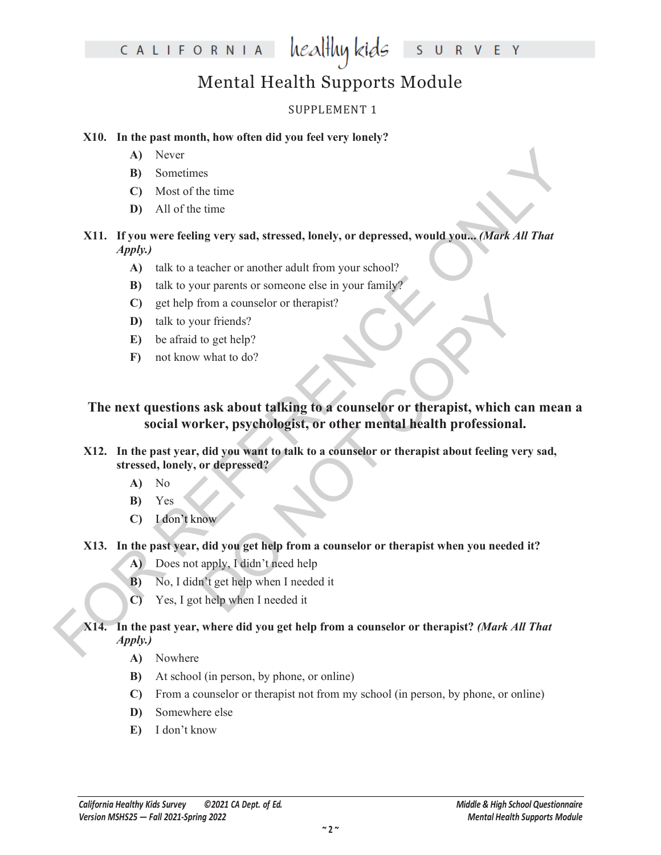# Mental Health Supports Module

## SUPPLEMENT 1

## **X10. In the past month, how often did you feel very lonely?**

- **A)** Never
- **B)** Sometimes
- **C)** Most of the time
- **D)** All of the time

## **X11. If you were feeling very sad, stressed, lonely, or depressed, would you...** *(Mark All That Apply.)*

- **A)** talk to a teacher or another adult from your school?
- **B)** talk to your parents or someone else in your family?
- **C)** get help from a counselor or therapist?
- **D)** talk to your friends?
- **E)** be afraid to get help?
- **F)** not know what to do?

# A) Never<br>
B) Sometimes<br>
C) Most of the time<br>
THI. If you were feeling very sad, stressed, lonely, or depressed, would you, *(Mark All That*<br>  $Apply$ )<br>
A) tak to a teacher or another adult from your school?<br>
B) tak from the c From a counselor or therapist?<br>
Sur friends?<br>
Sur friends?<br>
Sur friends?<br>
Sur text to do?<br>
Sur text to do?<br>
Surface to a counselor or therapist, which can<br>
refer, psychologist, or other mental health professional.<br>
Add you **The next questions ask about talking to a counselor or therapist, which can mean a social worker, psychologist, or other mental health professional.**

## **X12. In the past year, did you want to talk to a counselor or therapist about feeling very sad, stressed, lonely, or depressed?**

- **A)** No
- **B)** Yes
- **C)** I don't know

## **X13. In the past year, did you get help from a counselor or therapist when you needed it?**

- **A)** Does not apply, I didn't need help
- **B)** No, I didn't get help when I needed it
- **C)** Yes, I got help when I needed it

## **X14. In the past year, where did you get help from a counselor or therapist?** *(Mark All That Apply.)*

- **A)** Nowhere
- **B)** At school (in person, by phone, or online)
- **C)** From a counselor or therapist not from my school (in person, by phone, or online)
- **D)** Somewhere else
- **E)** I don't know